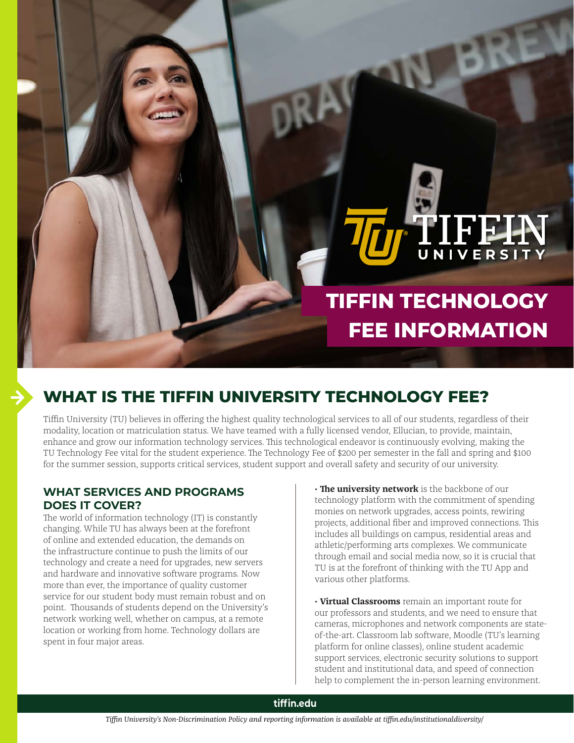# **TIFFIN TECHNOLOGY FEE INFORMATION**

TIFFIN

# **WHAT IS THE TIFFIN UNIVERSITY TECHNOLOGY FEE?**

Tiffin University (TU) believes in offering the highest quality technological services to all of our students, regardless of their modality, location or matriculation status. We have teamed with a fully licensed vendor, Ellucian, to provide, maintain, enhance and grow our information technology services. This technological endeavor is continuously evolving, making the TU Technology Fee vital for the student experience. The Technology Fee of \$200 per semester in the fall and spring and \$100 for the summer session, supports critical services, student support and overall safety and security of our university.

## **WHAT SERVICES AND PROGRAMS DOES IT COVER?**

The world of information technology (IT) is constantly changing. While TU has always been at the forefront of online and extended education, the demands on the infrastructure continue to push the limits of our technology and create a need for upgrades, new servers and hardware and innovative software programs. Now more than ever, the importance of quality customer service for our student body must remain robust and on point. Thousands of students depend on the University's network working well, whether on campus, at a remote location or working from home. Technology dollars are spent in four major areas.

• **The university network** is the backbone of our technology platform with the commitment of spending monies on network upgrades, access points, rewiring projects, additional fiber and improved connections. This includes all buildings on campus, residential areas and athletic/performing arts complexes. We communicate through email and social media now, so it is crucial that TU is at the forefront of thinking with the TU App and various other platforms.

• **Virtual Classrooms** remain an important route for our professors and students, and we need to ensure that cameras, microphones and network components are stateof-the-art. Classroom lab software, Moodle (TU's learning platform for online classes), online student academic support services, electronic security solutions to support student and institutional data, and speed of connection help to complement the in-person learning environment.